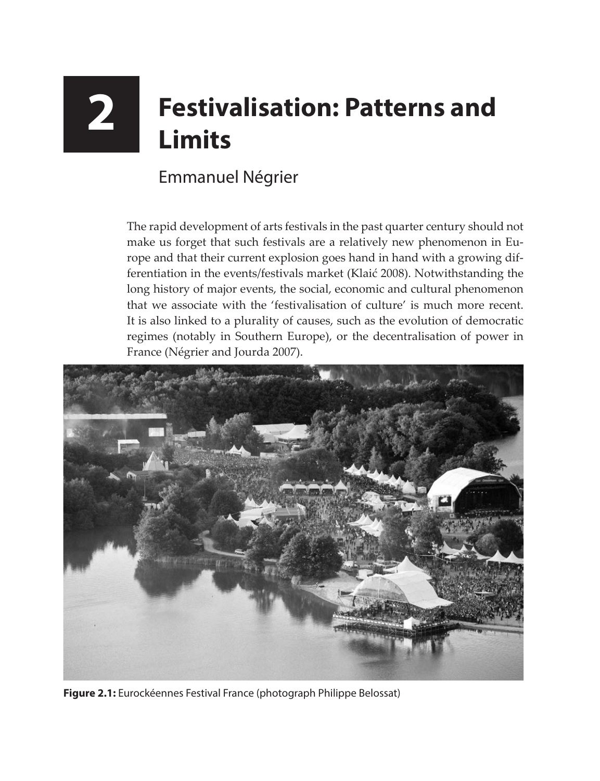## **2 Festivalisation: Patterns and Limits**

## Emmanuel Négrier

The rapid development of arts festivals in the past quarter century should not make us forget that such festivals are a relatively new phenomenon in Europe and that their current explosion goes hand in hand with a growing differentiation in the events/festivals market (Klaić 2008). Notwithstanding the long history of major events, the social, economic and cultural phenomenon that we associate with the 'festivalisation of culture' is much more recent. It is also linked to a plurality of causes, such as the evolution of democratic regimes (notably in Southern Europe), or the decentralisation of power in France (Négrier and Jourda 2007).



**Figure 2.1:** Eurockéennes Festival France (photograph Philippe Belossat)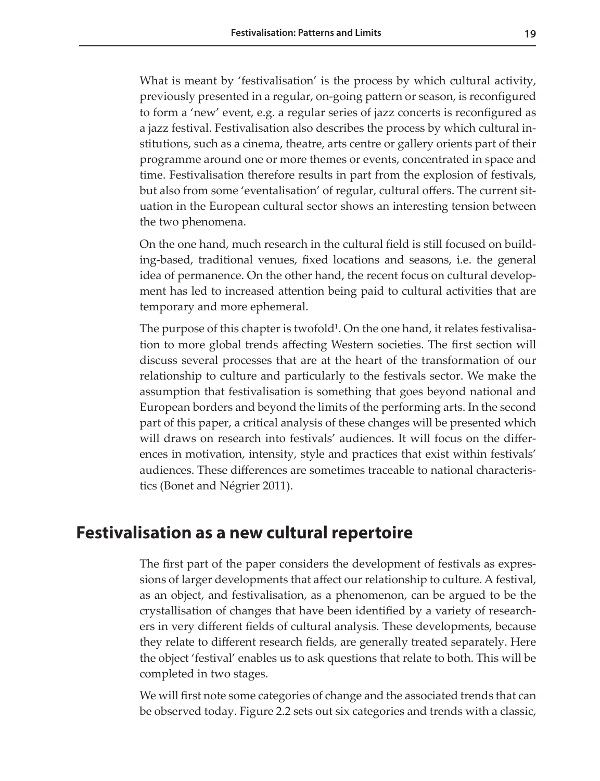What is meant by 'festivalisation' is the process by which cultural activity, previously presented in a regular, on-going pattern or season, is reconfigured to form a 'new' event, e.g. a regular series of jazz concerts is reconfigured as a jazz festival. Festivalisation also describes the process by which cultural institutions, such as a cinema, theatre, arts centre or gallery orients part of their programme around one or more themes or events, concentrated in space and time. Festivalisation therefore results in part from the explosion of festivals, but also from some 'eventalisation' of regular, cultural offers. The current situation in the European cultural sector shows an interesting tension between the two phenomena.

On the one hand, much research in the cultural field is still focused on building-based, traditional venues, fixed locations and seasons, i.e. the general idea of permanence. On the other hand, the recent focus on cultural development has led to increased attention being paid to cultural activities that are temporary and more ephemeral.

The purpose of this chapter is twofold<sup>1</sup>. On the one hand, it relates festivalisation to more global trends affecting Western societies. The first section will discuss several processes that are at the heart of the transformation of our relationship to culture and particularly to the festivals sector. We make the assumption that festivalisation is something that goes beyond national and European borders and beyond the limits of the performing arts. In the second part of this paper, a critical analysis of these changes will be presented which will draws on research into festivals' audiences. It will focus on the differences in motivation, intensity, style and practices that exist within festivals' audiences. These differences are sometimes traceable to national characteristics (Bonet and Négrier 2011).

## **Festivalisation as a new cultural repertoire**

The first part of the paper considers the development of festivals as expressions of larger developments that affect our relationship to culture. A festival, as an object, and festivalisation, as a phenomenon, can be argued to be the crystallisation of changes that have been identified by a variety of researchers in very different fields of cultural analysis. These developments, because they relate to different research fields, are generally treated separately. Here the object 'festival' enables us to ask questions that relate to both. This will be completed in two stages.

We will first note some categories of change and the associated trends that can be observed today. Figure 2.2 sets out six categories and trends with a classic,